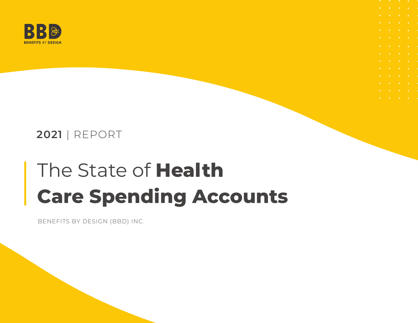

### **2021** | REPORT

# The State of **Health Care Spending Accounts**

BENEFITS BY DESIGN (BBD) INC.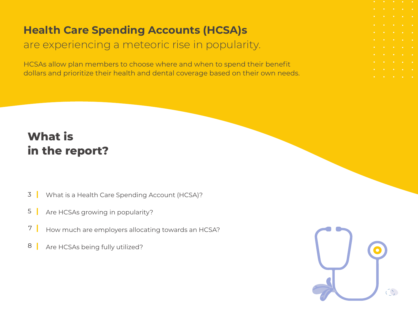# **Health Care Spending Accounts (HCSA)s**

### are experiencing a meteoric rise in popularity.

HCSAs allow plan members to choose where and when to spend their benefit dollars and prioritize their health and dental coverage based on their own needs.

# **What is in the report?**

- [What is a Health Care Spending Account \(HCSA\)?](#page-2-0) 3
- [Are HCSAs growing in popularity?](#page-6-0) 5
- [How much are employers allocating towards an HCSA?](#page-7-0) 7
- [Are HCSAs being fully utilized?](#page-8-0) 8

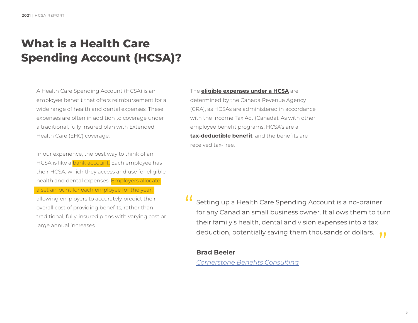# <span id="page-2-0"></span>**What is a Health Care Spending Account (HCSA)?**

A Health Care Spending Account (HCSA) is an employee benefit that offers reimbursement for a wide range of health and dental expenses. These expenses are often in addition to coverage under a traditional, fully insured plan with Extended Health Care (EHC) coverage.

In our experience, the best way to think of an HCSA is like a bank account. Each employee has their HCSA, which they access and use for eligible health and dental expenses. Employers allocate a set amount for each employee for the year, allowing employers to accurately predict their overall cost of providing benefits, rather than traditional, fully-insured plans with varying cost or large annual increases.

The **[eligible expenses under a HCSA](https://www.canada.ca/en/revenue-agency/services/tax/individuals/topics/about-your-tax-return/tax-return/completing-a-tax-return/deductions-credits-expenses/lines-33099-33199-eligible-medical-expenses-you-claim-on-your-tax-return.html)** are determined by the Canada Revenue Agency (CRA), as HCSAs are administered in accordance with the Income Tax Act (Canada). As with other employee benefit programs, HCSA's are a **tax-deductible benefit**, and the benefits are received tax-free.

Setting up a Health Care Spending Account is a no-brainer for any Canadian small business owner. It allows them to turn their family's health, dental and vision expenses into a tax their family's health, dental and vision expenses into a tax<br>deduction, potentially saving them thousands of dollars.  $\bullet\bullet$ !!<br>!<br>!

#### **Brad Beeler**

*[Cornerstone Benefits Consulting](https://cornerstonebenefits.ca/about/)*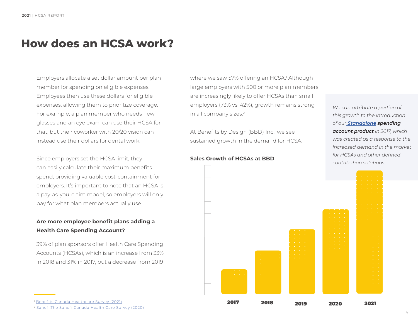### **How does an HCSA work?**

Employers allocate a set dollar amount per plan member for spending on eligible expenses. Employees then use these dollars for eligible expenses, allowing them to prioritize coverage. For example, a plan member who needs new glasses and an eye exam can use their HCSA for that, but their coworker with 20/20 vision can instead use their dollars for dental work.

Since employers set the HCSA limit, they can easily calculate their maximum benefits spend, providing valuable cost-containment for employers. It's important to note that an HCSA is a pay-as-you-claim model, so employers will only pay for what plan members actually use.

### **Are more employee benefit plans adding a Health Care Spending Account?**

39% of plan sponsors offer Health Care Spending Accounts (HCSAs), which is an increase from 33% in 2018 and 31% in 2017, but a decrease from 2019

where we saw 57% offering an HCSA.<sup>1</sup> Although large employers with 500 or more plan members are increasingly likely to offer HCSAs than small employers (73% vs. 42%), growth remains strong in all company sizes.2

At Benefits by Design (BBD) Inc., we see sustained growth in the demand for HCSA.



#### **Sales Growth of HCSAs at BBD**

*We can attribute a portion of this growth to the introduction of our [Standalone](https://www.bbd.ca/blog/standalone-spending-accounts/) spending account product in 2017, which was created as a response to the increased demand in the market for HCSAs and other defined contribution solutions.*



<sup>2</sup> [Sanofi,The Sanofi Canada Health Care Survey \(2020\)](https://www.sanofi.ca/en/products-and-resources/sanofi-canada-healthcare-survey)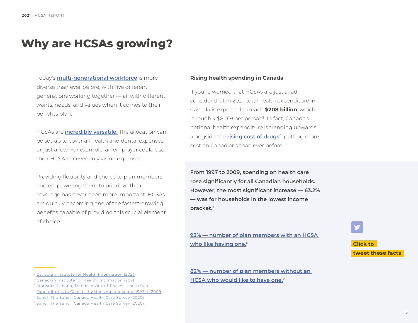### **Why are HCSAs growing?**

Today's **[multi-generational workforce](https://www.bbd.ca/blog/benefits-philosophy-multigenerational-workforce/)** is more diverse than ever before, with five different generations working together — all with different wants, needs, and values when it comes to their benefits plan.

HCSAs are **[incredibly versatile.](https://www.bbd.ca/blog/flexible-employee-benefits/)** The allocation can be set up to cover all health and dental expenses or just a few. For example, an employer could use their HCSA to cover only vision expenses.

Providing flexibility and choice to plan members and empowering them to prioritize their coverage has never been more important. HCSAs are quickly becoming one of the fastest-growing benefits capable of providing this crucial element of choice.

#### **Rising health spending in Canada**

If you're worried that HCSAs are just a fad, consider that in 2021, total health expenditure in Canada is expected to reach **\$208 billion**, which is roughly \$8,019 per person<sup>3</sup>. In fact, Canada's national health expenditure is trending upwards alongside the **[rising cost of drugs](https://www.cbc.ca/news/health/cihi-health-costs-canada-report-prescriptions-pharmacare-1.4390945)**<sup>4</sup>, putting more cost on Canadians than ever before.

**From 1997 to 2009, spending on health care rose significantly for all Canadian households. However, the most significant increase — 63.2% — was for households in the lowest income bracket.5**

**[93% — number of plan members with an HCSA](https://ctt.ac/B7DOd)  [who like having one.6](https://ctt.ac/B7DOd)**

**[82% — number of plan members without an](https://ctt.ac/n_eXF)  [HCSA who would like to have one.7](https://ctt.ac/n_eXF)**



<sup>4</sup> [Canadian Institute for Health Information \(2021\)](https://www.cihi.ca/en/prescribed-drug-spending-in-canada-2021)

<sup>5</sup> [Statistics Canada, Trends in Out-of-Pocket Health Care](https://www150.statcan.gc.ca/n1/pub/82-003-x/2014004/article/11924-eng.htm)  [Expenditures in Canada, by Household Income, 1997 to 2009](https://www150.statcan.gc.ca/n1/pub/82-003-x/2014004/article/11924-eng.htm)

<sup>6</sup> [Sanofi,The Sanofi Canada Health Care Survey \(2020\)](https://www.sanofi.ca/en/products-and-resources/sanofi-canada-healthcare-survey)

<sup>7</sup> [Sanofi,The Sanofi Canada Health Care Survey \(2020\)](https://www.sanofi.ca/en/products-and-resources/sanofi-canada-healthcare-survey)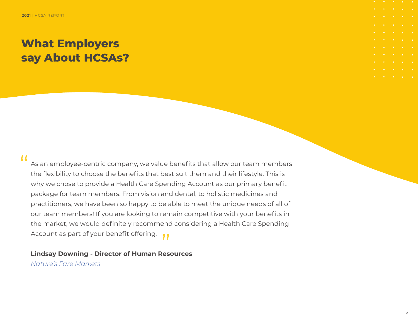### **What Employers say About HCSAs?**

### $\boldsymbol{\mu}$

As an employee-centric company, we value benefits that allow our team members the flexibility to choose the benefits that best suit them and their lifestyle. This is why we chose to provide a Health Care Spending Account as our primary benefit package for team members. From vision and dental, to holistic medicines and practitioners, we have been so happy to be able to meet the unique needs of all of our team members! If you are looking to remain competitive with your benefits in the market, we would definitely recommend considering a Health Care Spending the market, we would definitely recommend<br>Account as part of your benefit offering.

**Lindsay Downing - Director of Human Resources**

*[Nature's Fare Markets](https://www.naturesfare.com/)*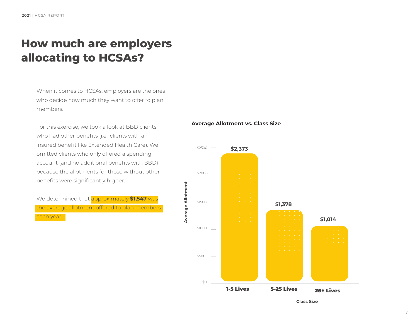## <span id="page-6-0"></span>**How much are employers allocating to HCSAs?**

When it comes to HCSAs, employers are the ones who decide how much they want to offer to plan members.

For this exercise, we took a look at BBD clients who had other benefits (i.e., clients with an insured benefit like Extended Health Care). We omitted clients who only offered a spending account (and no additional benefits with BBD) because the allotments for those without other benefits were significantly higher.

We determined that approximately **\$1,547** was the average allotment offered to plan members each year.

#### **Average Allotment vs. Class Size**



**Class Size**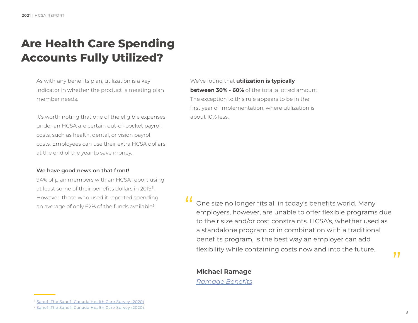### <span id="page-7-0"></span>**Are Health Care Spending Accounts Fully Utilized?**

As with any benefits plan, utilization is a key indicator in whether the product is meeting plan member needs.

It's worth noting that one of the eligible expenses under an HCSA are certain out-of-pocket payroll costs, such as health, dental, or vision payroll costs. Employees can use their extra HCSA dollars at the end of the year to save money.

#### **We have good news on that front!**

94% of plan members with an HCSA report using at least some of their benefits dollars in 20198. However, those who used it reported spending an average of only 62% of the funds available<sup>9</sup>.

We've found that **utilization is typically between 30% - 60%** of the total allotted amount The exception to this rule appears to be in the first year of implementation, where utilization is about 10% less.

One size no longer fits all in today's benefits world. Many employers, however, are unable to offer flexible programs due to their size and/or cost constraints. HCSA's, whether used as a standalone program or in combination with a traditional benefits program, is the best way an employer can add flexibility while containing costs now and into the future.  $\mu$ 

### **Michael Ramage**

*[Ramage Benefits](https://www.linkedin.com/in/mikeramage/)*

"

<sup>8</sup> [Sanofi,The Sanofi Canada Health Care Survey \(2020\)](https://www.sanofi.ca/en/products-and-resources/sanofi-canada-healthcare-survey)

<sup>9</sup> [Sanofi,The Sanofi Canada Health Care Survey \(2020\)](https://www.sanofi.ca/en/products-and-resources/sanofi-canada-healthcare-survey)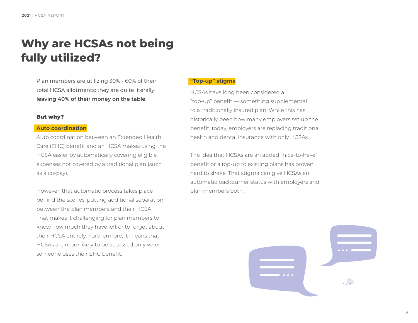## <span id="page-8-0"></span>**Why are HCSAs not being fully utilized?**

Plan members are utilizing 30% - 60% of their total HCSA allotments: they are quite literally **leaving 40% of their money on the table**.

#### But why?

#### **Auto coordination**

Auto coordination between an Extended Health Care (EHC) benefit and an HCSA makes using the HCSA easier by automatically covering eligible expenses not covered by a traditional plan (such as a co-pay).

However, that automatic process takes place behind the scenes, putting additional separation between the plan members and their HCSA. That makes it challenging for plan members to know how much they have left or to forget about their HCSA entirely. Furthermore, it means that HCSAs are more likely to be accessed only when someone uses their EHC benefit.

#### **"Top-up" stigma**

HCSAs have long been considered a "top-up" benefit — something supplemental to a traditionally insured plan. While this has historically been how many employers set up the benefit, today, employers are replacing traditional health and dental insurance with only HCSAs.

The idea that HCSAs are an added "nice-to-have" benefit or a top-up to existing plans has proven hard to shake. That stigma can give HCSAs an automatic backburner status with employers and plan members both.

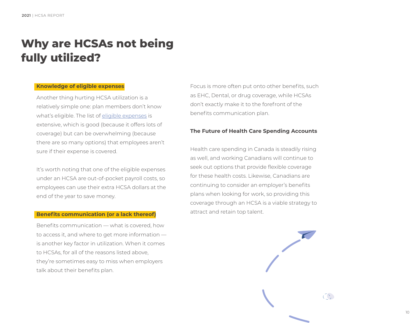## **Why are HCSAs not being fully utilized?**

#### **Knowledge of eligible expenses**

Another thing hurting HCSA utilization is a relatively simple one: plan members don't know what's eligible. The list of [eligible expenses](https://www.canada.ca/en/revenue-agency/services/tax/individuals/topics/about-your-tax-return/tax-return/completing-a-tax-return/deductions-credits-expenses/lines-33099-33199-eligible-medical-expenses-you-claim-on-your-tax-return.html) is extensive, which is good (because it offers lots of coverage) but can be overwhelming (because there are so many options) that employees aren't sure if their expense is covered.

It's worth noting that one of the eligible expenses under an HCSA are out-of-pocket payroll costs, so employees can use their extra HCSA dollars at the end of the year to save money.

#### **Benefits communication (or a lack thereof)**

Benefits communication — what is covered, how to access it, and where to get more information is another key factor in utilization. When it comes to HCSAs, for all of the reasons listed above, they're sometimes easy to miss when employers talk about their benefits plan.

Focus is more often put onto other benefits, such as EHC, Dental, or drug coverage, while HCSAs don't exactly make it to the forefront of the benefits communication plan.

#### **The Future of Health Care Spending Accounts**

Health care spending in Canada is steadily rising as well, and working Canadians will continue to seek out options that provide flexible coverage for these health costs. Likewise, Canadians are continuing to consider an employer's benefits plans when looking for work, so providing this coverage through an HCSA is a viable strategy to attract and retain top talent.

 $\widehat{(\gamma)}$